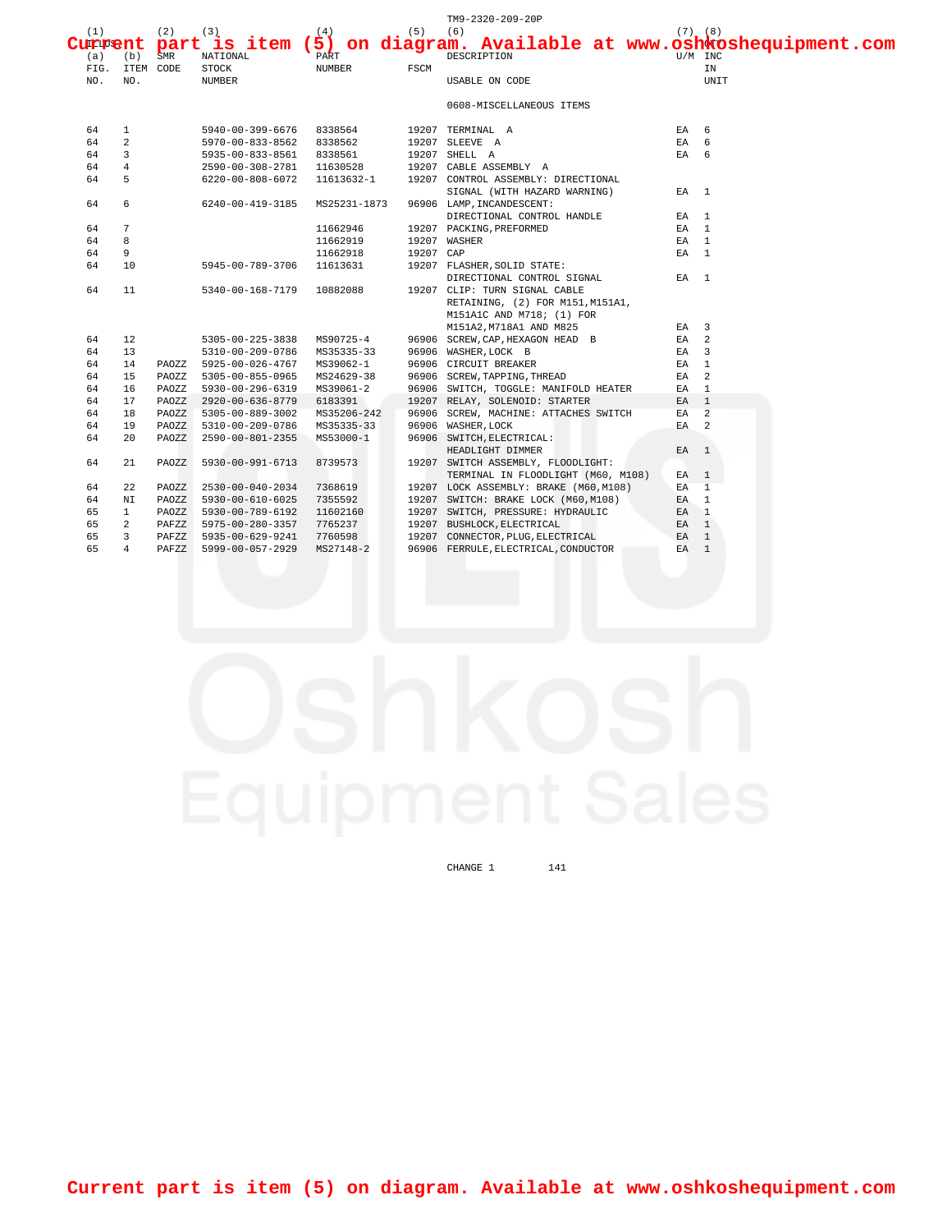|     |                 |       |                                           |             |           | TM9-2320-209-20P<br>$C^{(1)}_{\text{Lipen}+}$ part $^{(2)}_{\text{max}}$ item (5) on diagram. Available at www.oshkoshequipment.com |                 |         |
|-----|-----------------|-------|-------------------------------------------|-------------|-----------|-------------------------------------------------------------------------------------------------------------------------------------|-----------------|---------|
| (a) | (b)             | SMR   | NATIONAL                                  | PART        |           | DESCRIPTION                                                                                                                         |                 | U/M INC |
|     | FIG. ITEM CODE  |       | <b>STOCK</b>                              | NUMBER      | FSCM      |                                                                                                                                     |                 | ΙN      |
| NO. | NO.             |       | <b>NUMBER</b>                             |             |           | USABLE ON CODE                                                                                                                      |                 | UNIT    |
|     |                 |       |                                           |             |           | 0608-MISCELLANEOUS ITEMS                                                                                                            |                 |         |
| 64  | $\mathbf{1}$    |       | 5940-00-399-6676 8338564 19207 TERMINAL A |             |           |                                                                                                                                     | EA 6            |         |
| 64  | 2               |       | 5970-00-833-8562 8338562                  |             |           | 19207 SLEEVE A                                                                                                                      | EA 6            |         |
| 64  | $\overline{3}$  |       | 5935-00-833-8561 8338561                  |             |           | 19207 SHELL A                                                                                                                       | EA 6            |         |
| 64  | $\overline{4}$  |       |                                           |             |           | 2590-00-308-2781  11630528  19207  CABLE ASSEMBLY A                                                                                 |                 |         |
| 64  | 5               |       |                                           |             |           | 6220-00-808-6072   11613632-1   19207   CONTROL ASSEMBLY: DIRECTIONAL                                                               |                 |         |
|     |                 |       |                                           |             |           | SIGNAL (WITH HAZARD WARNING)                                                                                                        | EA 1            |         |
| 64  | 6               |       | 6240-00-419-3185 MS25231-1873             |             |           | 96906 LAMP, INCANDESCENT:                                                                                                           |                 |         |
|     |                 |       |                                           |             |           |                                                                                                                                     | EA 1            |         |
| 64  | $7\overline{ }$ |       |                                           | 11662946    |           | DIRECTIONAL CONTROL HANDLE<br>PACKING, PREFORMED<br>19207 PACKING, PREFORMED                                                        | EA 1            |         |
| 64  | 8               |       |                                           | 11662919    |           | 19207 WASHER                                                                                                                        | EA 1            |         |
| 64  | 9               |       |                                           | 11662918    | 19207 CAP |                                                                                                                                     | EA 1            |         |
| 64  | 10              |       | 5945-00-789-3706 11613631                 |             |           | 19207 FLASHER, SOLID STATE:                                                                                                         |                 |         |
|     |                 |       |                                           |             |           | DIRECTIONAL CONTROL SIGNAL                                                                                                          | $FA$ 1          |         |
| 64  | 11              |       | 5340-00-168-7179 10882088                 |             |           | 19207 CLIP: TURN SIGNAL CABLE                                                                                                       |                 |         |
|     |                 |       |                                           |             |           | RETAINING, (2) FOR M151, M151A1,                                                                                                    |                 |         |
|     |                 |       |                                           |             |           | M151A1C AND M718; (1) FOR                                                                                                           |                 |         |
|     |                 |       |                                           |             |           | M151A2, M718A1 AND M825                                                                                                             | EA 3            |         |
| 64  | 12              |       | 5305-00-225-3838                          | MS90725-4   |           | 96906 SCREW, CAP, HEXAGON HEAD B                                                                                                    | $EA$ 2          |         |
| 64  | 13 <sup>°</sup> |       | 5310-00-209-0786 MS35335-33               |             |           | 96906 WASHER, LOCK B                                                                                                                | $EA$ 3          |         |
| 64  | 14              |       | PAOZZ 5925-00-026-4767                    | MS39062-1   |           | 96906 CIRCUIT BREAKER                                                                                                               | EA 1            |         |
| 64  | 15              | PAOZZ |                                           |             |           | 5305-00-855-0965 MS24629-38 96906 SCREW, TAPPING, THREAD                                                                            | EA <sub>2</sub> |         |
| 64  | 16              | PAOZZ | 5930-00-296-6319 MS39061-2                |             |           | 96906 SWITCH, TOGGLE: MANIFOLD HEATER                                                                                               | EA 1            |         |
| 64  | 17              | PAOZZ | 2920-00-636-8779 6183391                  |             |           | 19207 RELAY, SOLENOID: STARTER                                                                                                      | $EA$ 1          |         |
| 64  | 18              |       | PAOZZ 5305-00-889-3002                    | MS35206-242 |           | 96906 SCREW, MACHINE: ATTACHES SWITCH                                                                                               | $EA$ 2          |         |
| 64  | 19              | PAOZZ | 5310-00-209-0786 MS35335-33               |             |           | 96906 WASHER, LOCK                                                                                                                  | $EA$ 2          |         |
| 64  | 20              | PAOZZ | 2590-00-801-2355 MS53000-1                |             |           | 96906 SWITCH, ELECTRICAL:                                                                                                           |                 |         |
|     |                 |       |                                           |             |           | HEADLIGHT DIMMER                                                                                                                    | EA 1            |         |
| 64  | 21              | PAOZZ | 5930-00-991-6713                          | 8739573     |           | 19207 SWITCH ASSEMBLY, FLOODLIGHT:                                                                                                  |                 |         |
|     |                 |       |                                           |             |           | TERMINAL IN FLOODLIGHT (M60, M108)                                                                                                  | EA 1            |         |
| 64  | 22              | PAOZZ | 2530-00-040-2034                          | 7368619     |           | 19207 LOCK ASSEMBLY: BRAKE (M60, M108)                                                                                              | EA 1            |         |
| 64  | ΝI              | PAOZZ | 5930-00-610-6025                          | 7355592     |           | 19207 SWITCH: BRAKE LOCK (M60, M108)                                                                                                | EA 1            |         |
| 65  | $\mathbf{1}$    | PAOZZ | 5930-00-789-6192                          | 11602160    |           | 19207 SWITCH, PRESSURE: HYDRAULIC                                                                                                   | EA <sub>1</sub> |         |
| 65  | $\overline{a}$  |       | PAFZZ 5975-00-280-3357                    | 7765237     |           | 19207 BUSHLOCK, ELECTRICAL                                                                                                          | EA 1            |         |
| 65  | $\overline{3}$  | PAFZZ | 5935-00-629-9241                          | 7760598     |           | 19207 CONNECTOR, PLUG, ELECTRICAL EA 1                                                                                              |                 |         |
| 65  | $\overline{4}$  | PAFZZ | 5999-00-057-2929                          | MS27148-2   |           | 96906 FERRULE, ELECTRICAL, CONDUCTOR                                                                                                | EA <sub>1</sub> |         |
|     |                 |       |                                           |             |           |                                                                                                                                     |                 |         |

 $CHANGE$  1 141

**Current part is item (5) on diagram. Available at www.oshkoshequipment.com**